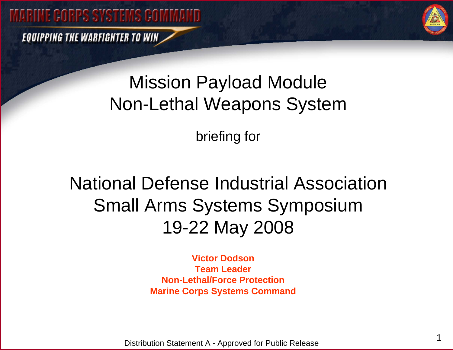**EQUIPPING THE WARFIGHTER TO WIN** 



# Mission Payload Module Non-Lethal Weapons System

briefing for

National Defense Industrial AssociationSmall Arms Systems Symposium 19-22 May 2008

> **Victor DodsonTeam LeaderNon-Lethal/Force ProtectionMarine Corps Systems Command**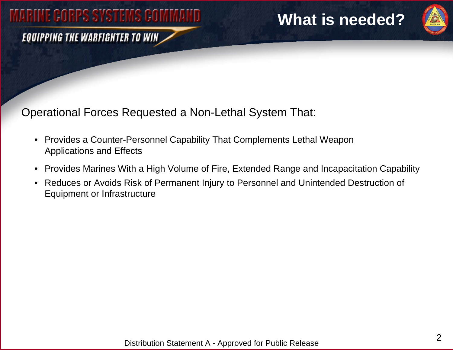#### **EQUIPPING THE WARFIGHTER TO WIN**

### **What is needed?**



Operational Forces Requested a Non-Lethal System That:

- Provides a Counter-Personnel Capability That Complements Lethal Weapon Applications and Effects
- $\bullet$ Provides Marines With a High Volume of Fire, Extended Range and Incapacitation Capability
- $\bullet$  Reduces or Avoids Risk of Permanent Injury to Personnel and Unintended Destruction of Equipment or Infrastructure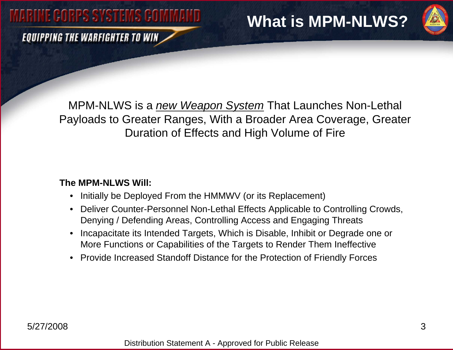**EQUIPPING THE WARFIGHTER TO WIN** 

## **What is MPM-NLWS?**



MPM-NLWS is a *new Weapon System* That Launches Non-Lethal Payloads to Greater Ranges, With a Broader Area Coverage, Greater Duration of Effects and High Volume of Fire

#### **The MPM-NLWS Will:**

- •Initially be Deployed From the HMMWV (or its Replacement)
- Deliver Counter-Personnel Non-Lethal Effects Applicable to Controlling Crowds, Denying / Defending Areas, Controlling Access and Engaging Threats
- $\bullet$  Incapacitate its Intended Targets, Which is Disable, Inhibit or Degrade one or More Functions or Capabilities of the Targets to Render Them Ineffective
- •Provide Increased Standoff Distance for the Protection of Friendly Forces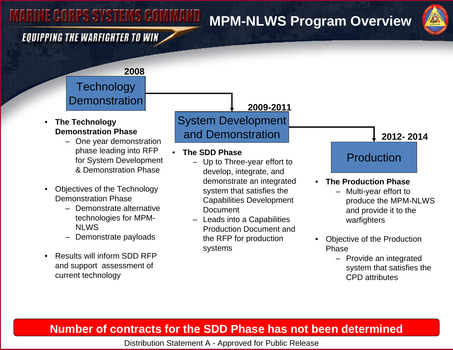### **MPM-NLWS Program Overview**



### **EQUIPPING THE WARFIGHTER TO WIN**

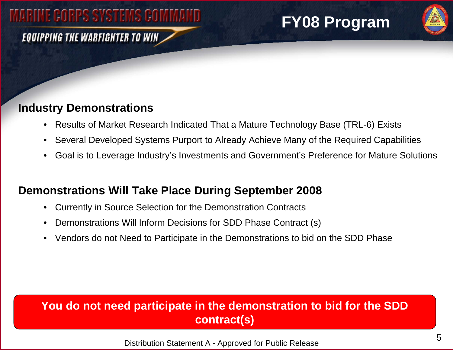#### **EQUIPPING THE WARFIGHTER TO WIN**

## **FY08 Program**



#### **Industry Demonstrations**

- Results of Market Research Indicated That a Mature Technology Base (TRL-6) Exists
- $\bullet$ Several Developed Systems Purport to Already Achieve Many of the Required Capabilities
- $\bullet$ Goal is to Leverage Industry's Investments and Government's Preference for Mature Solutions

### **Demonstrations Will Take Place During September 2008**

- $\bullet$ Currently in Source Selection for the Demonstration Contracts
- $\bullet$ Demonstrations Will Inform Decisions for SDD Phase Contract (s)
- Vendors do not Need to Participate in the Demonstrations to bid on the SDD Phase

### **You do not need participate in the demonstration to bid for the SDD contract(s)**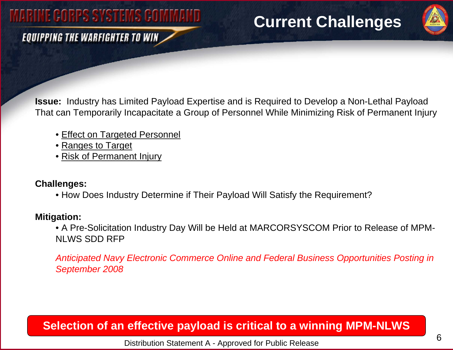### **EQUIPPING THE WARFIGHTER TO WIN**

### **Current Challenges**



**Issue:** Industry has Limited Payload Expertise and is Required to Develop a Non-Lethal Payload That can Temporarily Incapacitate a Group of Personnel While Minimizing Risk of Permanent Injury

- Effect on Targeted Personnel
- <u>Ranges to Target</u>
- Risk of Permanent Injury

#### **Challenges:**

• How Does Industry Determine if Their Payload Will Satisfy the Requirement?

#### **Mitigation:**

• A Pre-Solicitation Industry Day Will be Held at MARCORSYSCOM Prior to Release of MPM-NLWS SDD RFP

*Anticipated Navy Electronic Commerce Online and Federal Business Opportunities Posting in September 2008*

### **Selection of an effective payload is critical to a winning MPM-NLWS**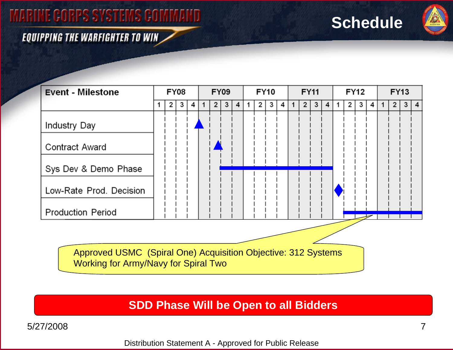### **Schedule**



#### **EQUIPPING THE WARFIGHTER TO WIN**

| <b>Event - Milestone</b> | <b>FY08</b> |   |   |   | <b>FY09</b> |   |   |                | <b>FY10</b> |   |   |   | <b>FY11</b> |                |   |   | <b>FY12</b> |   |   |   | <b>FY13</b> |   |  |     |
|--------------------------|-------------|---|---|---|-------------|---|---|----------------|-------------|---|---|---|-------------|----------------|---|---|-------------|---|---|---|-------------|---|--|-----|
|                          |             | 2 | 3 | 4 |             | 2 | 3 | $\overline{4}$ |             | 2 | З | 4 |             | $\overline{2}$ | 3 | 4 |             | 2 | 3 | 4 |             | 2 |  | 3 4 |
| <b>Industry Day</b>      |             |   |   |   |             |   |   |                |             |   |   |   |             |                |   |   |             |   |   |   |             |   |  |     |
| <b>Contract Award</b>    |             |   |   |   |             |   |   |                |             |   |   |   |             |                |   |   |             |   |   |   |             |   |  |     |
| Sys Dev & Demo Phase     |             |   |   |   |             |   |   |                |             |   |   |   |             |                |   |   |             |   |   |   |             |   |  |     |
| Low-Rate Prod. Decision  |             |   |   |   |             |   |   |                |             |   |   |   |             |                |   |   |             |   |   |   |             |   |  |     |
| <b>Production Period</b> |             |   |   |   |             |   |   |                |             |   |   |   |             |                |   |   |             |   |   |   |             |   |  |     |
|                          |             |   |   |   |             |   |   |                |             |   |   |   |             |                |   |   |             |   |   |   |             |   |  |     |

Approved USMC (Spiral One) Acquisition Objective: 312 Systems Working for Army/Navy for Spiral Two

**SDD Phase Will be Open to all Bidders**

5/27/2008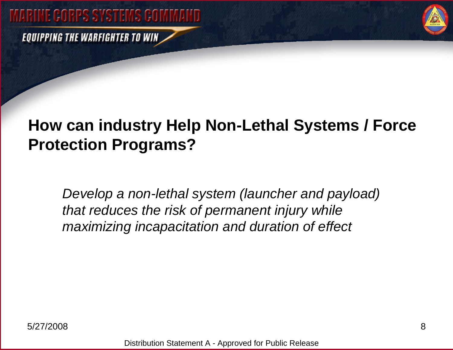**EQUIPPING THE WARFIGHTER TO WIN** 



## **How can industry Help Non-Lethal Systems / Force Protection Programs?**

*Develop a non-lethal system (launcher and payload) that reduces the risk of permanent injury while maximizing incapacitation and duration of effect*